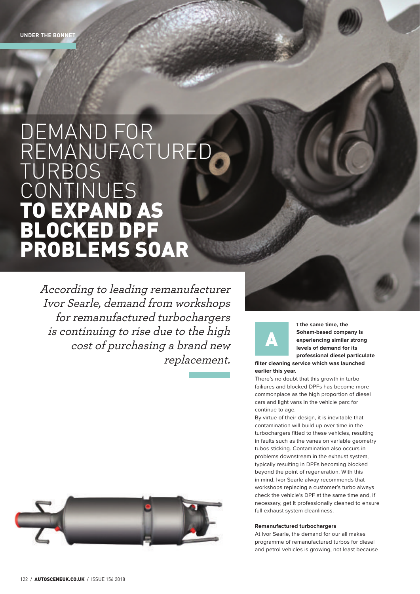## DEMAND FOR REMANUFACTUREI TURBOS **CONTINUES** TO EXPAND AS BLOCKED DPF PROBLEMS SOAR

According to leading remanufacturer Ivor Searle, demand from workshops for remanufactured turbochargers is continuing to rise due to the high cost of purchasing a brand new replacement.



**t the same time, the Soham-based company is experiencing similar strong levels of demand for its professional diesel particulate** 

**filter cleaning service which was launched earlier this year.** 

There's no doubt that this growth in turbo failiures and blocked DPFs has become more commonplace as the high proportion of diesel cars and light vans in the vehicle parc for continue to age.

By virtue of their design, it is inevitable that contamination will build up over time in the turbochargers fitted to these vehicles, resulting in faults such as the vanes on variable geometry tubos sticking. Contamination also occurs in problems downstream in the exhaust system, typically resulting in DPFs becoming blocked beyond the point of regeneration. With this in mind, Ivor Searle alway recommends that workshops replacing a customer's turbo always check the vehicle's DPF at the same time and, if necessary, get it professionally cleaned to ensure full exhaust system cleanliness.

## **Remanufactured turbochargers**

At Ivor Searle, the demand for our all makes programme of remanufactured turbos for diesel and petrol vehicles is growing, not least because